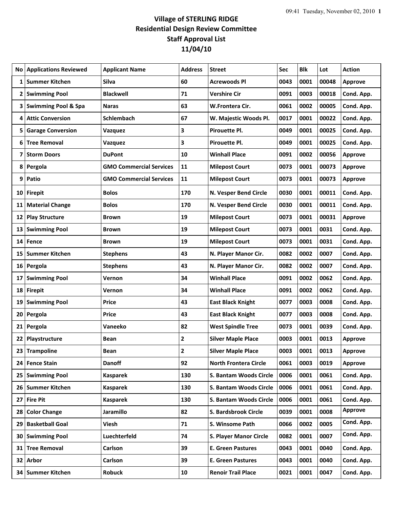## **Village of STERLING RIDGE Residential Design Review Committee Staff Approval List 11/04/10**

| No          | <b>Applications Reviewed</b>   | <b>Applicant Name</b>          | <b>Address</b> | <b>Street</b>                | Sec  | <b>Blk</b> | Lot   | <b>Action</b>  |
|-------------|--------------------------------|--------------------------------|----------------|------------------------------|------|------------|-------|----------------|
| $\mathbf 1$ | Summer Kitchen                 | <b>Silva</b>                   | 60             | <b>Acrewoods Pl</b>          | 0043 | 0001       | 00048 | <b>Approve</b> |
|             | 2 Swimming Pool                | <b>Blackwell</b>               | 71             | <b>Vershire Cir</b>          | 0091 | 0003       | 00018 | Cond. App.     |
| 3           | <b>Swimming Pool &amp; Spa</b> | <b>Naras</b>                   | 63             | W.Frontera Cir.              | 0061 | 0002       | 00005 | Cond. App.     |
| 4           | <b>Attic Conversion</b>        | <b>Schlembach</b>              | 67             | W. Majestic Woods Pl.        | 0017 | 0001       | 00022 | Cond. App.     |
| 5           | <b>Garage Conversion</b>       | Vazquez                        | 3              | <b>Pirouette Pl.</b>         | 0049 | 0001       | 00025 | Cond. App.     |
| 6           | <b>Tree Removal</b>            | Vazquez                        | 3              | Pirouette Pl.                | 0049 | 0001       | 00025 | Cond. App.     |
| 7           | <b>Storm Doors</b>             | <b>DuPont</b>                  | 10             | <b>Winhall Place</b>         | 0091 | 0002       | 00056 | Approve        |
|             | 8 Pergola                      | <b>GMO Commercial Services</b> | 11             | <b>Milepost Court</b>        | 0073 | 0001       | 00073 | <b>Approve</b> |
| 9           | Patio                          | <b>GMO Commercial Services</b> | 11             | <b>Milepost Court</b>        | 0073 | 0001       | 00073 | <b>Approve</b> |
|             | 10 Firepit                     | <b>Bolos</b>                   | 170            | N. Vesper Bend Circle        | 0030 | 0001       | 00011 | Cond. App.     |
|             | 11 Material Change             | <b>Bolos</b>                   | 170            | N. Vesper Bend Circle        | 0030 | 0001       | 00011 | Cond. App.     |
| 12          | <b>Play Structure</b>          | <b>Brown</b>                   | 19             | <b>Milepost Court</b>        | 0073 | 0001       | 00031 | <b>Approve</b> |
| 13          | <b>Swimming Pool</b>           | Brown                          | 19             | <b>Milepost Court</b>        | 0073 | 0001       | 0031  | Cond. App.     |
|             | 14 Fence                       | <b>Brown</b>                   | 19             | <b>Milepost Court</b>        | 0073 | 0001       | 0031  | Cond. App.     |
| 15          | Summer Kitchen                 | <b>Stephens</b>                | 43             | N. Player Manor Cir.         | 0082 | 0002       | 0007  | Cond. App.     |
|             | 16 Pergola                     | <b>Stephens</b>                | 43             | N. Player Manor Cir.         | 0082 | 0002       | 0007  | Cond. App.     |
| 17          | <b>Swimming Pool</b>           | Vernon                         | 34             | <b>Winhall Place</b>         | 0091 | 0002       | 0062  | Cond. App.     |
|             | 18 Firepit                     | Vernon                         | 34             | <b>Winhall Place</b>         | 0091 | 0002       | 0062  | Cond. App.     |
| 19          | <b>Swimming Pool</b>           | Price                          | 43             | <b>East Black Knight</b>     | 0077 | 0003       | 0008  | Cond. App.     |
|             | 20 Pergola                     | <b>Price</b>                   | 43             | <b>East Black Knight</b>     | 0077 | 0003       | 0008  | Cond. App.     |
|             | 21 Pergola                     | Vaneeko                        | 82             | <b>West Spindle Tree</b>     | 0073 | 0001       | 0039  | Cond. App.     |
|             | 22 Playstructure               | <b>Bean</b>                    | $\mathbf{2}$   | <b>Silver Maple Place</b>    | 0003 | 0001       | 0013  | <b>Approve</b> |
|             | 23 Trampoline                  | <b>Bean</b>                    | 2              | <b>Silver Maple Place</b>    | 0003 | 0001       | 0013  | <b>Approve</b> |
|             | 24 Fence Stain                 | <b>Danoff</b>                  | 92             | <b>North Frontera Circle</b> | 0061 | 0003       | 0019  | <b>Approve</b> |
|             | 25 Swimming Pool               | <b>Kasparek</b>                | 130            | S. Bantam Woods Circle       | 0006 | 0001       | 0061  | Cond. App.     |
|             | 26 Summer Kitchen              | <b>Kasparek</b>                | 130            | S. Bantam Woods Circle       | 0006 | 0001       | 0061  | Cond. App.     |
|             | 27 Fire Pit                    | <b>Kasparek</b>                | 130            | S. Bantam Woods Circle       | 0006 | 0001       | 0061  | Cond. App.     |
| 28          | <b>Color Change</b>            | Jaramillo                      | 82             | S. Bardsbrook Circle         | 0039 | 0001       | 0008  | <b>Approve</b> |
| 29          | <b>Basketball Goal</b>         | Viesh                          | 71             | S. Winsome Path              | 0066 | 0002       | 0005  | Cond. App.     |
|             | 30 Swimming Pool               | Luechterfeld                   | 74             | S. Player Manor Circle       | 0082 | 0001       | 0007  | Cond. App.     |
| 31 I        | <b>Tree Removal</b>            | Carlson                        | 39             | <b>E. Green Pastures</b>     | 0043 | 0001       | 0040  | Cond. App.     |
|             | 32 Arbor                       | Carlson                        | 39             | <b>E. Green Pastures</b>     | 0043 | 0001       | 0040  | Cond. App.     |
|             | 34 Summer Kitchen              | <b>Robuck</b>                  | 10             | <b>Renoir Trail Place</b>    | 0021 | 0001       | 0047  | Cond. App.     |